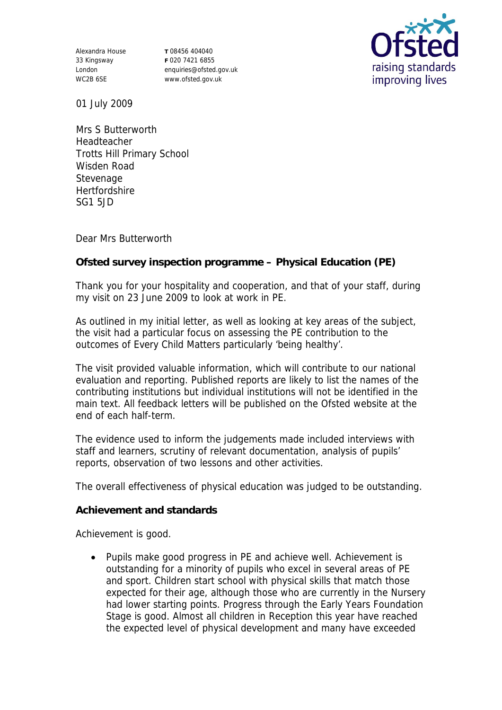Alexandra House 33 Kingsway London WC2B 6SE

**T** 08456 404040 **F** 020 7421 6855 enquiries@ofsted.gov.uk www.ofsted.gov.uk



01 July 2009

Mrs S Butterworth Headteacher Trotts Hill Primary School Wisden Road Stevenage **Hertfordshire** SG1 5JD

Dear Mrs Butterworth

**Ofsted survey inspection programme – Physical Education (PE)**

Thank you for your hospitality and cooperation, and that of your staff, during my visit on 23 June 2009 to look at work in PE.

As outlined in my initial letter, as well as looking at key areas of the subject, the visit had a particular focus on assessing the PE contribution to the outcomes of Every Child Matters particularly 'being healthy'.

The visit provided valuable information, which will contribute to our national evaluation and reporting. Published reports are likely to list the names of the contributing institutions but individual institutions will not be identified in the main text. All feedback letters will be published on the Ofsted website at the end of each half-term.

The evidence used to inform the judgements made included interviews with staff and learners, scrutiny of relevant documentation, analysis of pupils' reports, observation of two lessons and other activities.

The overall effectiveness of physical education was judged to be outstanding.

**Achievement and standards** 

Achievement is good.

 Pupils make good progress in PE and achieve well. Achievement is outstanding for a minority of pupils who excel in several areas of PE and sport. Children start school with physical skills that match those expected for their age, although those who are currently in the Nursery had lower starting points. Progress through the Early Years Foundation Stage is good. Almost all children in Reception this year have reached the expected level of physical development and many have exceeded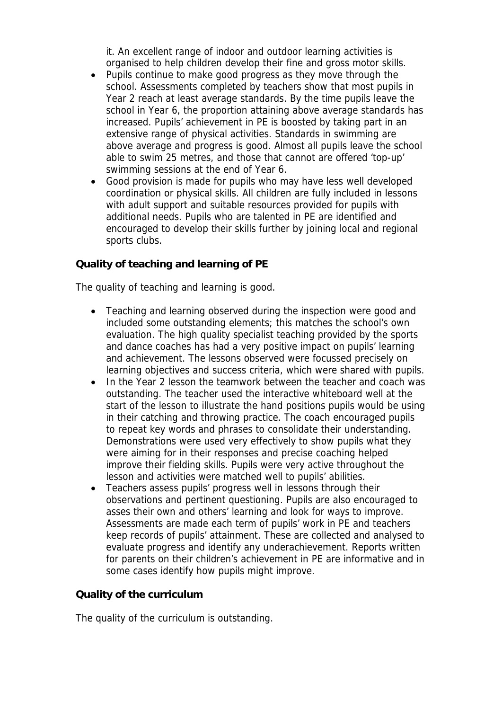it. An excellent range of indoor and outdoor learning activities is organised to help children develop their fine and gross motor skills.

- Pupils continue to make good progress as they move through the school. Assessments completed by teachers show that most pupils in Year 2 reach at least average standards. By the time pupils leave the school in Year 6, the proportion attaining above average standards has increased. Pupils' achievement in PE is boosted by taking part in an extensive range of physical activities. Standards in swimming are above average and progress is good. Almost all pupils leave the school able to swim 25 metres, and those that cannot are offered 'top-up' swimming sessions at the end of Year 6.
- Good provision is made for pupils who may have less well developed coordination or physical skills. All children are fully included in lessons with adult support and suitable resources provided for pupils with additional needs. Pupils who are talented in PE are identified and encouraged to develop their skills further by joining local and regional sports clubs.

## **Quality of teaching and learning of PE**

The quality of teaching and learning is good.

- Teaching and learning observed during the inspection were good and included some outstanding elements; this matches the school's own evaluation. The high quality specialist teaching provided by the sports and dance coaches has had a very positive impact on pupils' learning and achievement. The lessons observed were focussed precisely on learning objectives and success criteria, which were shared with pupils.
- In the Year 2 lesson the teamwork between the teacher and coach was outstanding. The teacher used the interactive whiteboard well at the start of the lesson to illustrate the hand positions pupils would be using in their catching and throwing practice. The coach encouraged pupils to repeat key words and phrases to consolidate their understanding. Demonstrations were used very effectively to show pupils what they were aiming for in their responses and precise coaching helped improve their fielding skills. Pupils were very active throughout the lesson and activities were matched well to pupils' abilities.
- Teachers assess pupils' progress well in lessons through their observations and pertinent questioning. Pupils are also encouraged to asses their own and others' learning and look for ways to improve. Assessments are made each term of pupils' work in PE and teachers keep records of pupils' attainment. These are collected and analysed to evaluate progress and identify any underachievement. Reports written for parents on their children's achievement in PE are informative and in some cases identify how pupils might improve.

## **Quality of the curriculum**

The quality of the curriculum is outstanding.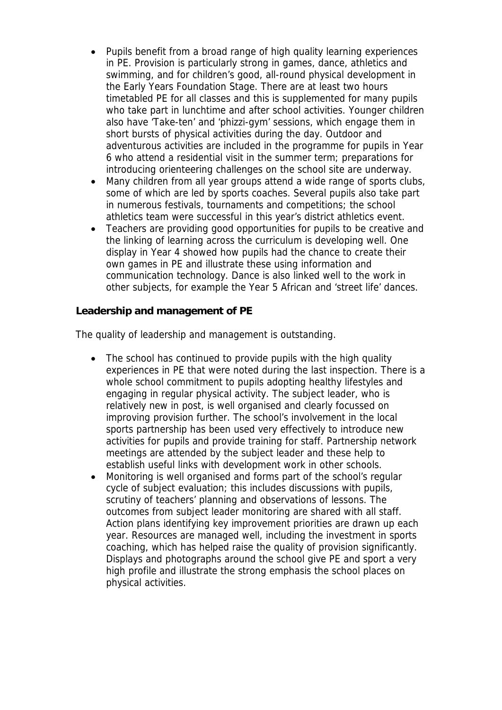- Pupils benefit from a broad range of high quality learning experiences in PE. Provision is particularly strong in games, dance, athletics and swimming, and for children's good, all-round physical development in the Early Years Foundation Stage. There are at least two hours timetabled PE for all classes and this is supplemented for many pupils who take part in lunchtime and after school activities. Younger children also have 'Take-ten' and 'phizzi-gym' sessions, which engage them in short bursts of physical activities during the day. Outdoor and adventurous activities are included in the programme for pupils in Year 6 who attend a residential visit in the summer term; preparations for introducing orienteering challenges on the school site are underway.
- Many children from all year groups attend a wide range of sports clubs, some of which are led by sports coaches. Several pupils also take part in numerous festivals, tournaments and competitions; the school athletics team were successful in this year's district athletics event.
- Teachers are providing good opportunities for pupils to be creative and the linking of learning across the curriculum is developing well. One display in Year 4 showed how pupils had the chance to create their own games in PE and illustrate these using information and communication technology. Dance is also linked well to the work in other subjects, for example the Year 5 African and 'street life' dances.

**Leadership and management of PE**

The quality of leadership and management is outstanding.

- The school has continued to provide pupils with the high quality experiences in PE that were noted during the last inspection. There is a whole school commitment to pupils adopting healthy lifestyles and engaging in regular physical activity. The subject leader, who is relatively new in post, is well organised and clearly focussed on improving provision further. The school's involvement in the local sports partnership has been used very effectively to introduce new activities for pupils and provide training for staff. Partnership network meetings are attended by the subject leader and these help to establish useful links with development work in other schools.
- Monitoring is well organised and forms part of the school's regular cycle of subject evaluation; this includes discussions with pupils, scrutiny of teachers' planning and observations of lessons. The outcomes from subject leader monitoring are shared with all staff. Action plans identifying key improvement priorities are drawn up each year. Resources are managed well, including the investment in sports coaching, which has helped raise the quality of provision significantly. Displays and photographs around the school give PE and sport a very high profile and illustrate the strong emphasis the school places on physical activities.